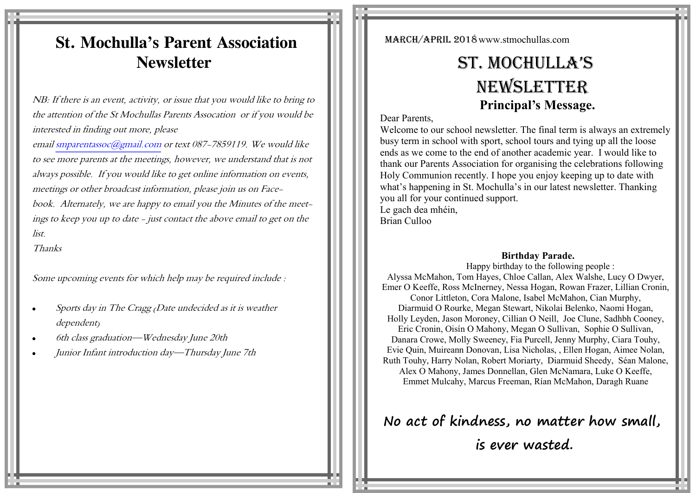## **St. Mochulla's Parent Association Newsletter**

NB: If there is an event, activity, or issue that you would like to bring to the attention of the St Mochullas Parents Assocation or if you would be interested in finding out more, please

email [smparentassoc@gmail.com](mailto:smparentassoc@gmail.com) or text 087-7859119. We would like to see more parents at the meetings, however, we understand that is not always possible. If you would like to get online information on events, meetings or other broadcast information, please join us on Facebook. Alternately, we are happy to email you the Minutes of the meetings to keep you up to date - just contact the above email to get on the list.

Thanks

Some upcoming events for which help may be required include :

- Sports day in The Cragg (Date undecided as it is weather dependent)
- 6th class graduation—Wednesday June 20th
- Junior Infant introduction day—Thursday June 7th

March/April 2018www.stmochullas.com

# St. Mochulla'S **NEWSLETTER Principal's Message.**

## Dear Parents,

Welcome to our school newsletter. The final term is always an extremely busy term in school with sport, school tours and tying up all the loose ends as we come to the end of another academic year. I would like to thank our Parents Association for organising the celebrations following Holy Communion recently. I hope you enjoy keeping up to date with what's happening in St. Mochulla's in our latest newsletter. Thanking you all for your continued support. Le gach dea mhéin, Brian Culloo

### **Birthday Parade.**

 Happy birthday to the following people : Alyssa McMahon, Tom Hayes, Chloe Callan, Alex Walshe, Lucy O Dwyer, Emer O Keeffe, Ross McInerney, Nessa Hogan, Rowan Frazer, Lillian Cronin, Conor Littleton, Cora Malone, Isabel McMahon, Cian Murphy, Diarmuid O Rourke, Megan Stewart, Nikolai Belenko, Naomi Hogan, Holly Leyden, Jason Moroney, Cillian O Neill, Joe Clune, Sadhbh Cooney, Eric Cronin, Oisín O Mahony, Megan O Sullivan, Sophie O Sullivan, Danara Crowe, Molly Sweeney, Fia Purcell, Jenny Murphy, Ciara Touhy, Evie Quin, Muireann Donovan, Lisa Nicholas, , Ellen Hogan, Aimee Nolan, Ruth Touhy, Harry Nolan, Robert Moriarty, Diarmuid Sheedy, Séan Malone, Alex O Mahony, James Donnellan, Glen McNamara, Luke O Keeffe, Emmet Mulcahy, Marcus Freeman, Rían McMahon, Daragh Ruane

**No act of kindness, no matter how small,**

**is ever wasted.**